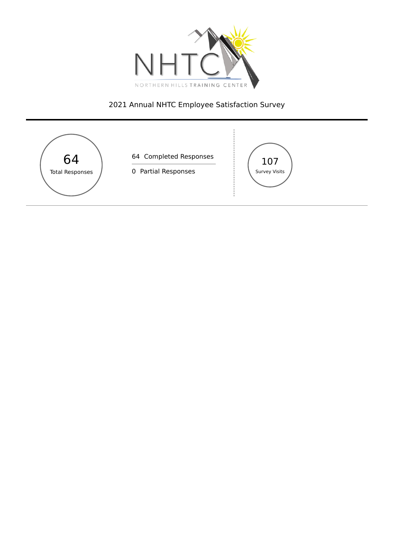

# Annual NHTC Employee Satisfaction Survey

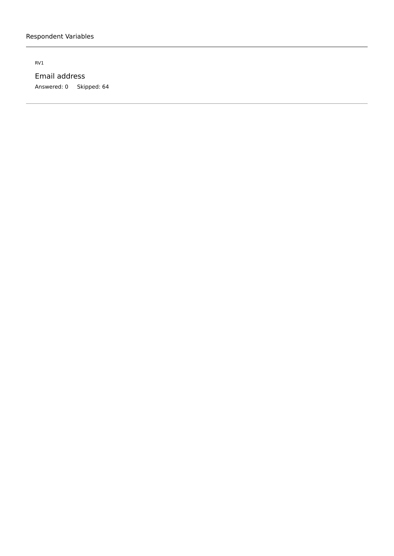RV1

Email address Answered: 0 Skipped: 64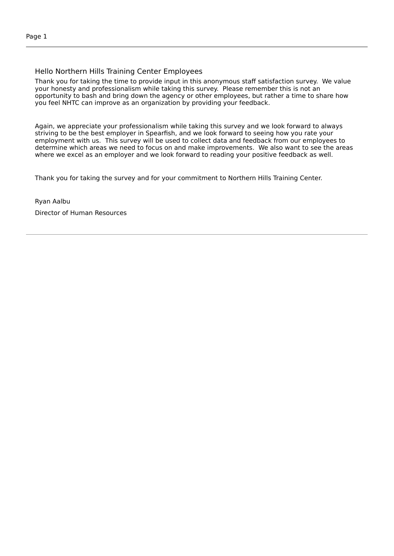#### Hello Northern Hills Training Center Employees

Thank you for taking the time to provide input in this anonymous staff satisfaction survey. We value your honesty and professionalism while taking this survey. Please remember this is not an opportunity to bash and bring down the agency or other employees, but rather a time to share how you feel NHTC can improve as an organization by providing your feedback.

Again, we appreciate your professionalism while taking this survey and we look forward to always striving to be the best employer in Spearfish, and we look forward to seeing how you rate your employment with us. This survey will be used to collect data and feedback from our employees to determine which areas we need to focus on and make improvements. We also want to see the areas where we excel as an employer and we look forward to reading your positive feedback as well.

Thank you for taking the survey and for your commitment to Northern Hills Training Center.

Ryan Aalbu

Director of Human Resources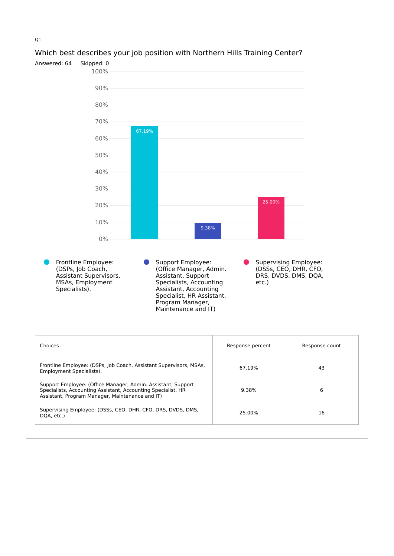

#### Which best describes your job position with Northern Hills Training Center?

| Choices                                                                                                                                                                         | Response percent | Response count |
|---------------------------------------------------------------------------------------------------------------------------------------------------------------------------------|------------------|----------------|
| Frontline Employee: (DSPs, Job Coach, Assistant Supervisors, MSAs,<br>Employment Specialists).                                                                                  | 67.19%           | 43             |
| Support Employee: (Office Manager, Admin. Assistant, Support<br>Specialists, Accounting Assistant, Accounting Specialist, HR<br>Assistant, Program Manager, Maintenance and IT) | 9.38%            | 6              |
| Supervising Employee: (DSSs, CEO, DHR, CFO, DRS, DVDS, DMS,<br>DQA, etc.)                                                                                                       | 25.00%           | 16             |

Program Manager, Maintenance and IT)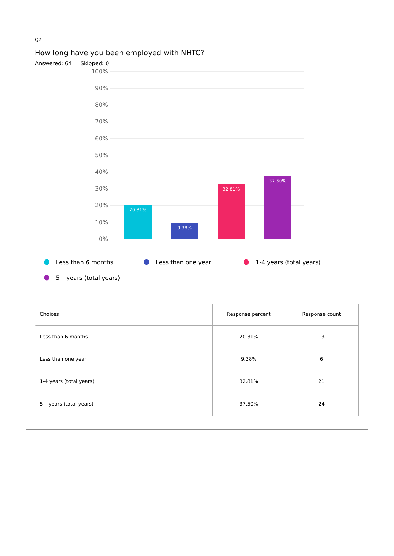

# How long have you been employed with NHTC?

- Less than 6 months **I** Less than one year **I** 1-4 years (total years)
- 5+ years (total years)

| Choices                 | Response percent | Response count |
|-------------------------|------------------|----------------|
| Less than 6 months      | 20.31%           | 13             |
| Less than one year      | 9.38%            | 6              |
| 1-4 years (total years) | 32.81%           | 21             |
| 5+ years (total years)  | 37.50%           | 24             |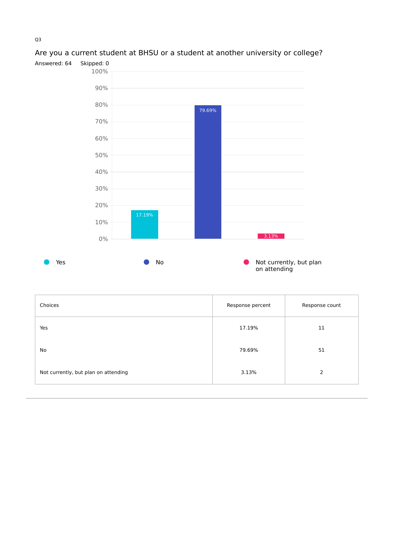

# Are you a current student at BHSU or a student at another university or college?

| Choices                              | Response percent | Response count |
|--------------------------------------|------------------|----------------|
| Yes                                  | 17.19%           | 11             |
| No                                   | 79.69%           | 51             |
| Not currently, but plan on attending | 3.13%            | 2              |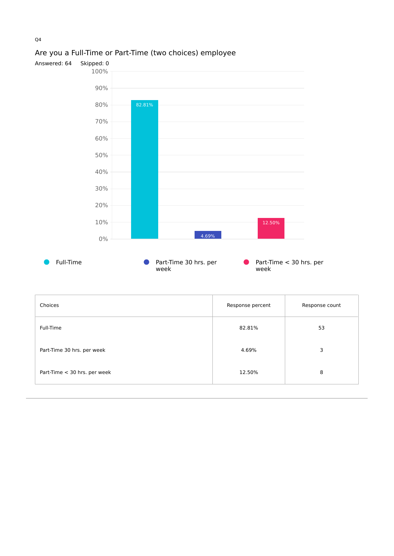

# Are you a Full-Time or Part-Time (two choices) employee

|         | week | week             |               |
|---------|------|------------------|---------------|
|         |      |                  |               |
| Choices |      | Response percent | Response cour |

| Choices                      | Response percent | Response count |
|------------------------------|------------------|----------------|
| Full-Time                    | 82.81%           | 53             |
| Part-Time 30 hrs. per week   | 4.69%            | 3              |
| Part-Time < 30 hrs. per week | 12.50%           | 8              |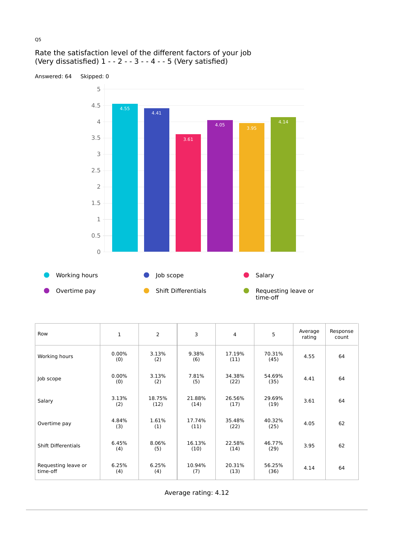#### Rate the satisfaction level of the different factors of your job (Very dissatisfied) 1 - - 2 - - 3 - - 4 - - 5 (Very satisfied)



| Row                             | 1               | 2              | 3              | 4              | 5              | Average<br>rating | Response<br>count |
|---------------------------------|-----------------|----------------|----------------|----------------|----------------|-------------------|-------------------|
| Working hours                   | $0.00\%$<br>(0) | 3.13%<br>(2)   | 9.38%<br>(6)   | 17.19%<br>(11) | 70.31%<br>(45) | 4.55              | 64                |
| Job scope                       | $0.00\%$<br>(0) | 3.13%<br>(2)   | 7.81%<br>(5)   | 34.38%<br>(22) | 54.69%<br>(35) | 4.41              | 64                |
| Salary                          | 3.13%<br>(2)    | 18.75%<br>(12) | 21.88%<br>(14) | 26.56%<br>(17) | 29.69%<br>(19) | 3.61              | 64                |
| Overtime pay                    | 4.84%<br>(3)    | 1.61%<br>(1)   | 17.74%<br>(11) | 35.48%<br>(22) | 40.32%<br>(25) | 4.05              | 62                |
| <b>Shift Differentials</b>      | 6.45%<br>(4)    | 8.06%<br>(5)   | 16.13%<br>(10) | 22.58%<br>(14) | 46.77%<br>(29) | 3.95              | 62                |
| Requesting leave or<br>time-off | 6.25%<br>(4)    | 6.25%<br>(4)   | 10.94%<br>(7)  | 20.31%<br>(13) | 56.25%<br>(36) | 4.14              | 64                |

Average rating: 4.12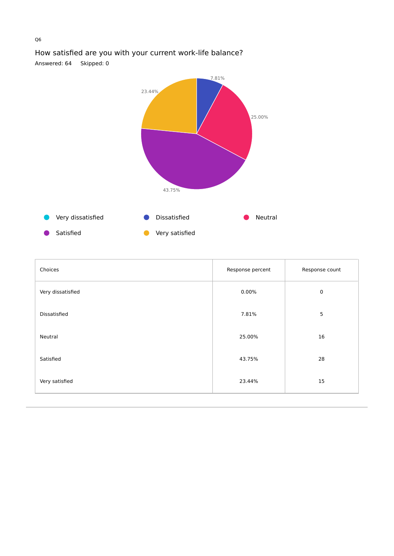

# How satisfied are you with your current work-life balance?

Answered: 64 Skipped: 0

| Choices           | Response percent | Response count |
|-------------------|------------------|----------------|
| Very dissatisfied | 0.00%            | $\mathbf 0$    |
| Dissatisfied      | 7.81%            | 5              |
| Neutral           | 25.00%           | 16             |
| Satisfied         | 43.75%           | 28             |
| Very satisfied    | 23.44%           | 15             |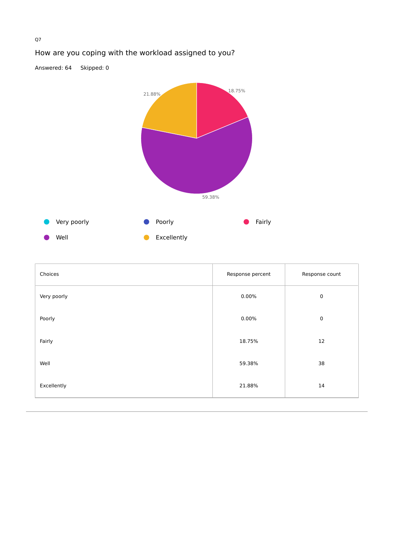

| Choices     | Response percent | Response count |
|-------------|------------------|----------------|
| Very poorly | $0.00\%$         | $\mathbf 0$    |
| Poorly      | 0.00%            | $\mathbf 0$    |
| Fairly      | 18.75%           | 12             |
| Well        | 59.38%           | 38             |
| Excellently | 21.88%           | 14             |

# How are you coping with the workload assigned to you?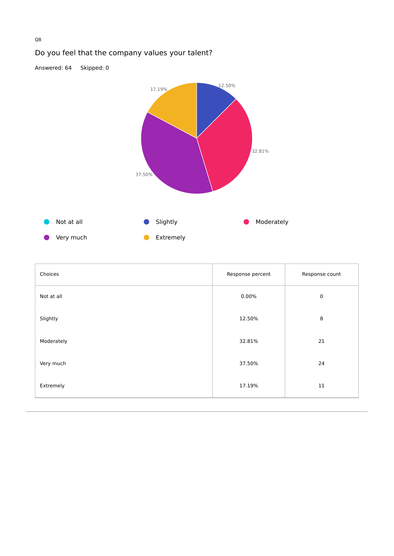

|  |  | Do you feel that the company values your talent? |
|--|--|--------------------------------------------------|
|  |  |                                                  |

| Choices    | Response percent | Response count |
|------------|------------------|----------------|
| Not at all | 0.00%            | $\mathbf 0$    |
| Slightly   | 12.50%           | 8              |
| Moderately | 32.81%           | 21             |
| Very much  | 37.50%           | 24             |
| Extremely  | 17.19%           | 11             |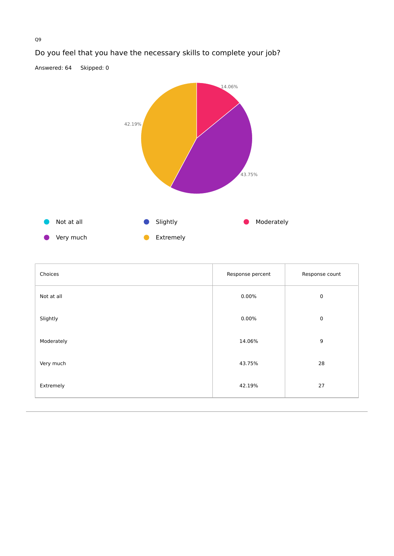

# Do you feel that you have the necessary skills to complete your job?

| Choices    | Response percent | Response count |
|------------|------------------|----------------|
| Not at all | 0.00%            | $\mathbf 0$    |
| Slightly   | 0.00%            | $\mathbf 0$    |
| Moderately | 14.06%           | 9              |
| Very much  | 43.75%           | 28             |
| Extremely  | 42.19%           | 27             |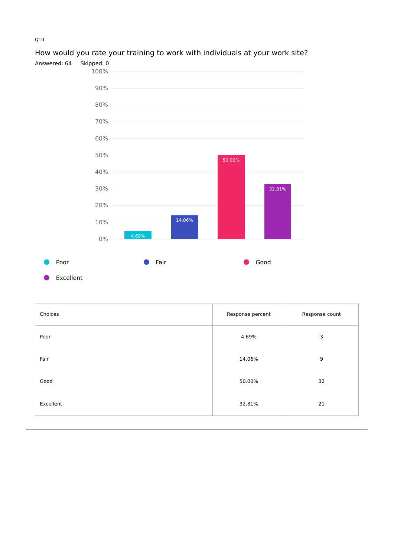

# How would you rate your training to work with individuals at your work site?

Excellent

| Choices   | Response percent | Response count |
|-----------|------------------|----------------|
| Poor      | 4.69%            | 3              |
| Fair      | 14.06%           | 9              |
| Good      | 50.00%           | 32             |
| Excellent | 32.81%           | 21             |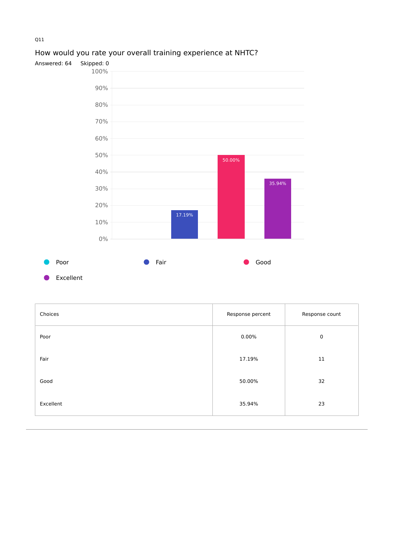

# How would you rate your overall training experience at NHTC?

Excellent

| Choices   | Response percent | Response count |
|-----------|------------------|----------------|
| Poor      | 0.00%            | $\mathbf 0$    |
| Fair      | 17.19%           | 11             |
| Good      | 50.00%           | 32             |
| Excellent | 35.94%           | 23             |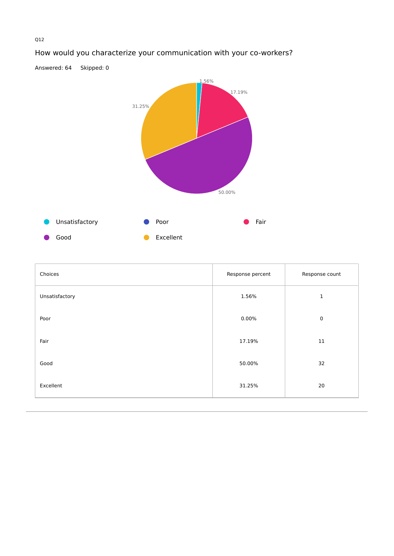

# How would you characterize your communication with your co-workers?

| Choices        | Response percent | Response count |
|----------------|------------------|----------------|
| Unsatisfactory | 1.56%            | 1              |
| Poor           | 0.00%            | $\mathsf 0$    |
| Fair           | 17.19%           | $11\,$         |
| Good           | 50.00%           | 32             |
| Excellent      | 31.25%           | 20             |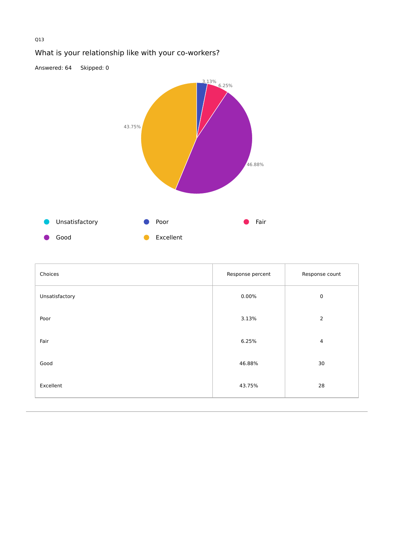

| What is your relationship like with your co-workers? |  |  |  |  |
|------------------------------------------------------|--|--|--|--|
|------------------------------------------------------|--|--|--|--|

| Choices        | Response percent | Response count |
|----------------|------------------|----------------|
| Unsatisfactory | $0.00\%$         | $\mathbf 0$    |
| Poor           | 3.13%            | $\overline{2}$ |
| Fair           | 6.25%            | 4              |
| Good           | 46.88%           | 30             |
| Excellent      | 43.75%           | 28             |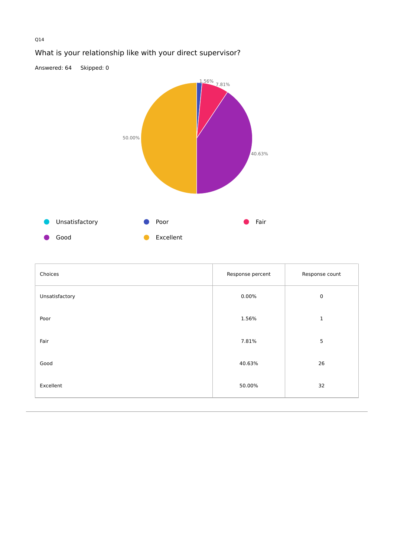

# What is your relationship like with your direct supervisor?

| Choices        | Response percent | Response count |
|----------------|------------------|----------------|
| Unsatisfactory | 0.00%            | $\mathbf 0$    |
| Poor           | 1.56%            | 1              |
| Fair           | 7.81%            | $\overline{5}$ |
| Good           | 40.63%           | 26             |
| Excellent      | 50.00%           | 32             |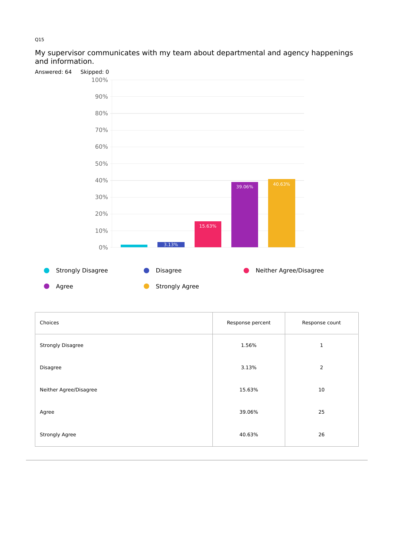#### My supervisor communicates with my team about departmental and agency happenings and information.



| Choices                  | Response percent | Response count |
|--------------------------|------------------|----------------|
| <b>Strongly Disagree</b> | 1.56%            | 1              |
| Disagree                 | 3.13%            | $\overline{2}$ |
| Neither Agree/Disagree   | 15.63%           | 10             |
| Agree                    | 39.06%           | 25             |
| <b>Strongly Agree</b>    | 40.63%           | 26             |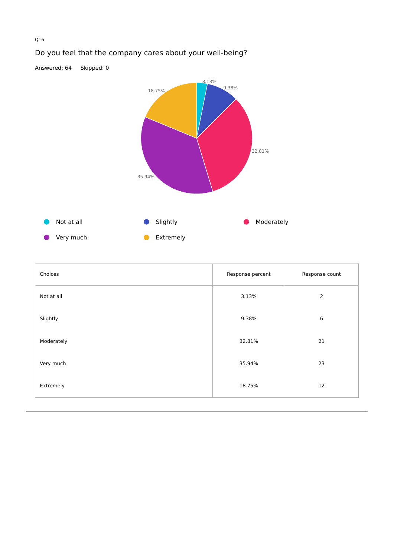

# Do you feel that the company cares about your well-being?

| Choices    | Response percent | Response count |
|------------|------------------|----------------|
| Not at all | 3.13%            | $\overline{2}$ |
| Slightly   | 9.38%            | 6              |
| Moderately | 32.81%           | 21             |
| Very much  | 35.94%           | 23             |
| Extremely  | 18.75%           | 12             |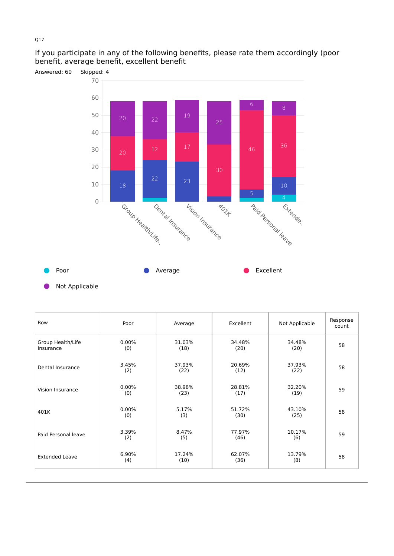#### If you participate in any of the following benefits, please rate them accordingly (poor benefit, average benefit, excellent benefit



Not Applicable

| Row                            | Poor            | Average        | Excellent      | Not Applicable | Response<br>count |
|--------------------------------|-----------------|----------------|----------------|----------------|-------------------|
| Group Health/Life<br>Insurance | $0.00\%$<br>(0) | 31.03%<br>(18) | 34.48%<br>(20) | 34.48%<br>(20) | 58                |
| Dental Insurance               | 3.45%<br>(2)    | 37.93%<br>(22) | 20.69%<br>(12) | 37.93%<br>(22) | 58                |
| Vision Insurance               | $0.00\%$<br>(0) | 38.98%<br>(23) | 28.81%<br>(17) | 32.20%<br>(19) | 59                |
| 401K                           | $0.00\%$<br>(0) | 5.17%<br>(3)   | 51.72%<br>(30) | 43.10%<br>(25) | 58                |
| Paid Personal leave            | 3.39%<br>(2)    | 8.47%<br>(5)   | 77.97%<br>(46) | 10.17%<br>(6)  | 59                |
| <b>Extended Leave</b>          | 6.90%<br>(4)    | 17.24%<br>(10) | 62.07%<br>(36) | 13.79%<br>(8)  | 58                |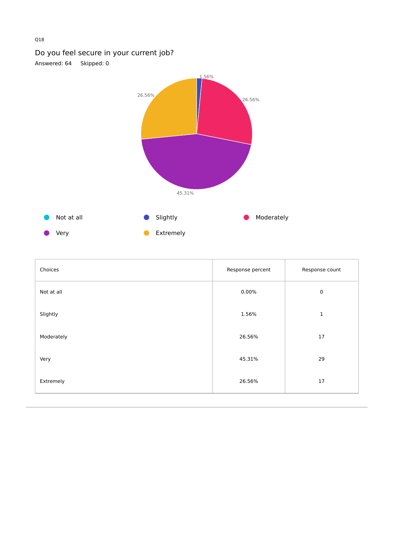# Do you feel secure in your current job?

Answered: 64 Skipped: 0



| Choices    | Response percent | Response count |
|------------|------------------|----------------|
| Not at all | 0.00%            | $\mathbf 0$    |
| Slightly   | 1.56%            | $\mathbf 1$    |
| Moderately | 26.56%           | 17             |
| Very       | 45.31%           | 29             |
| Extremely  | 26.56%           | $17\,$         |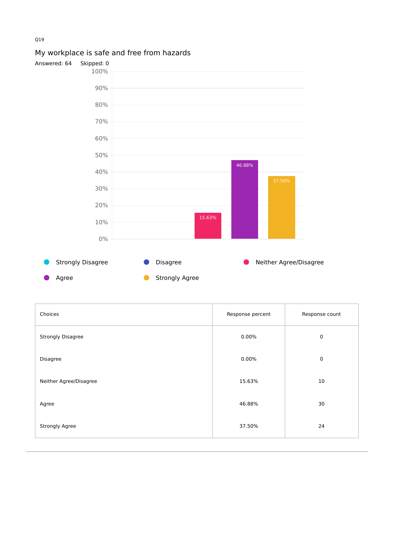

# My workplace is safe and free from hazards



| Choices                  | Response percent | Response count |
|--------------------------|------------------|----------------|
| <b>Strongly Disagree</b> | 0.00%            | $\mathbf 0$    |
| Disagree                 | $0.00\%$         | $\mathbf 0$    |
| Neither Agree/Disagree   | 15.63%           | 10             |
| Agree                    | 46.88%           | 30             |
| Strongly Agree           | 37.50%           | 24             |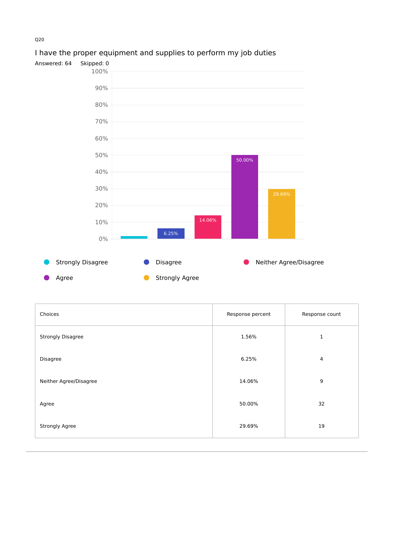

# I have the proper equipment and supplies to perform my job duties

| Choices                  | Response percent | Response count |
|--------------------------|------------------|----------------|
| <b>Strongly Disagree</b> | 1.56%            | 1              |
| Disagree                 | 6.25%            | 4              |
| Neither Agree/Disagree   | 14.06%           | 9              |
| Agree                    | 50.00%           | 32             |
| Strongly Agree           | 29.69%           | 19             |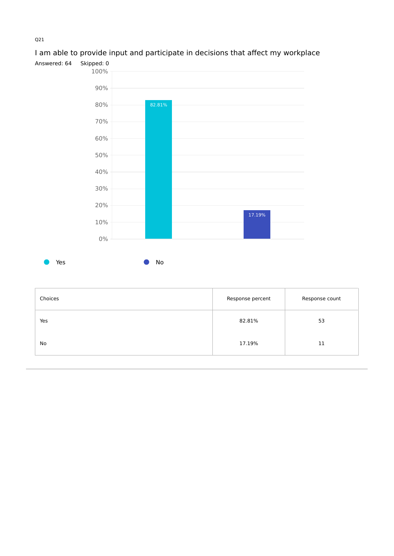

# I am able to provide input and participate in decisions that affect my workplace

| Choices | Response percent | Response count |
|---------|------------------|----------------|
| Yes     | 82.81%           | 53             |
| No      | 17.19%           | 11             |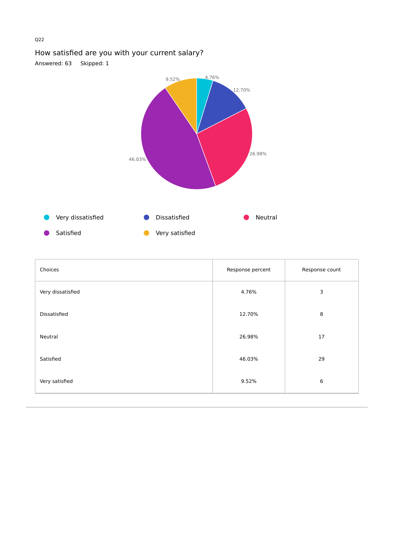# How satisfied are you with your current salary?

Answered: 63 Skipped: 1



| Choices           | Response percent | Response count |
|-------------------|------------------|----------------|
| Very dissatisfied | 4.76%            | 3              |
| Dissatisfied      | 12.70%           | 8              |
| Neutral           | 26.98%           | 17             |
| Satisfied         | 46.03%           | 29             |
| Very satisfied    | 9.52%            | 6              |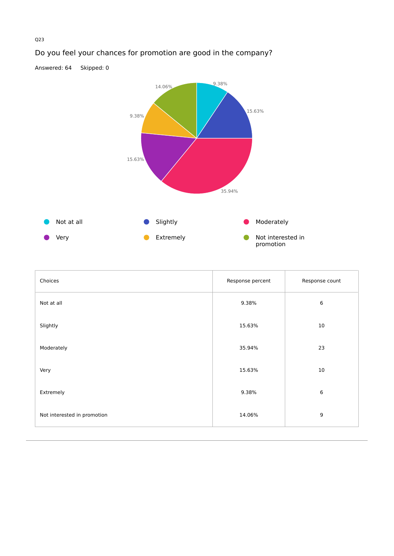

# Do you feel your chances for promotion are good in the company?

| Choices                     | Response percent | Response count   |
|-----------------------------|------------------|------------------|
| Not at all                  | 9.38%            | 6                |
| Slightly                    | 15.63%           | 10               |
| Moderately                  | 35.94%           | 23               |
| Very                        | 15.63%           | 10               |
| Extremely                   | 9.38%            | 6                |
| Not interested in promotion | 14.06%           | $\boldsymbol{9}$ |